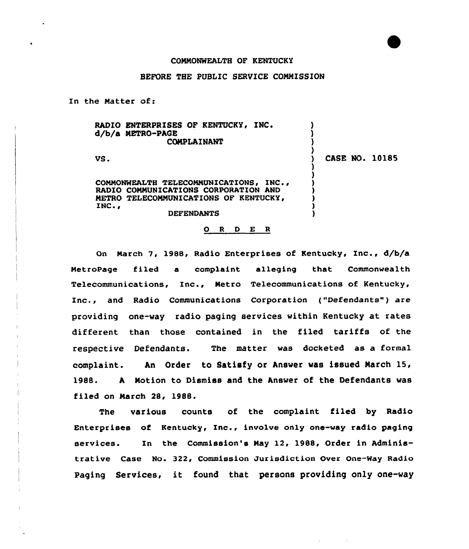## COMMONWEALTH OF KENTUCKY

## BEFORE THE PUBLIC SERUICE COMMISSION

In the Matter of:

| <b>COMPLAINANT</b><br>CASE NO. 10185<br>VS. |
|---------------------------------------------|
|                                             |
|                                             |
|                                             |
| COMMONWEALTH TELECOMMUNICATIONS, INC.,      |
| RADIO COMMUNICATIONS CORPORATION AND        |
| METRO TELECOMMUNICATIONS OF KENTUCKY,       |
| INC.,                                       |
| <b>DEFENDANTS</b>                           |

## 0 <sup>R</sup> <sup>D</sup> E <sup>R</sup>

On March 7, 1988, Radio Enterprises of Kentucky, Inc., d/b/a MetroPage filed a complaint alleging that Commonwealth Telecommunications, Inc., Metro Telecommunications of Kentucky, Inc., and Radio Communications Corporation ("Defendants") are providing one-way radio paging services within Kentucky at rates different than those contained in the filed tariffs of the respective Defendants. The matter was docketed as a formal complaint. An Order to Satisfy or Answer was issued March 15, 1988. A Motion to Dismiss and the Answer of the Defendants was filed on March 28, 1988.

The various counts of the complaint filed by Radio Enterprises of Kentucky, Inc., involve only one-way radio paging services. In the Commission's May 12, l988, Order in Administrative Case No. 322, Commission Jurisdiction Over One-Way Radio Paging Services, it found that persons providing only one-way